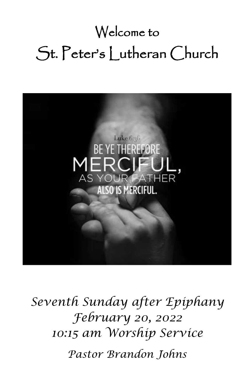# Welcome to St. Peter's Lutheran Church



*Seventh Sunday after Epiphany February 20, 2022 10:15 am Worship Service Pastor Brandon Johns*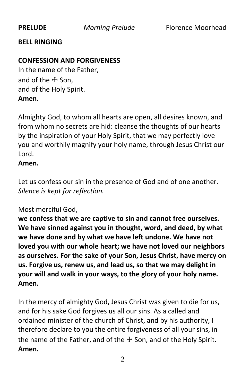#### **BELL RINGING**

#### **CONFESSION AND FORGIVENESS**

In the name of the Father, and of the  $+$  Son. and of the Holy Spirit. **Amen.**

Almighty God, to whom all hearts are open, all desires known, and from whom no secrets are hid: cleanse the thoughts of our hearts by the inspiration of your Holy Spirit, that we may perfectly love you and worthily magnify your holy name, through Jesus Christ our Lord.

#### **Amen.**

Let us confess our sin in the presence of God and of one another. *Silence is kept for reflection.*

#### Most merciful God,

**we confess that we are captive to sin and cannot free ourselves. We have sinned against you in thought, word, and deed, by what we have done and by what we have left undone. We have not loved you with our whole heart; we have not loved our neighbors as ourselves. For the sake of your Son, Jesus Christ, have mercy on us. Forgive us, renew us, and lead us, so that we may delight in your will and walk in your ways, to the glory of your holy name. Amen.**

In the mercy of almighty God, Jesus Christ was given to die for us, and for his sake God forgives us all our sins. As a called and ordained minister of the church of Christ, and by his authority, I therefore declare to you the entire forgiveness of all your sins, in the name of the Father, and of the  $\pm$  Son, and of the Holy Spirit. **Amen.**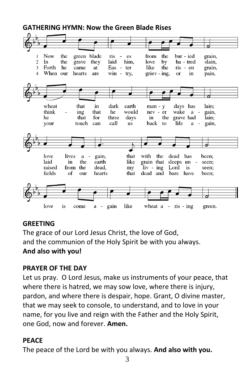#### **GATHERING HYMN: Now the Green Blade Rises**



#### **GREETING**

The grace of our Lord Jesus Christ, the love of God, and the communion of the Holy Spirit be with you always. **And also with you!**

#### **PRAYER OF THE DAY**

Let us pray. O Lord Jesus, make us instruments of your peace, that where there is hatred, we may sow love, where there is injury, pardon, and where there is despair, hope. Grant, O divine master, that we may seek to console, to understand, and to love in your name, for you live and reign with the Father and the Holy Spirit, one God, now and forever. **Amen.**

#### **PEACE**

The peace of the Lord be with you always. **And also with you.**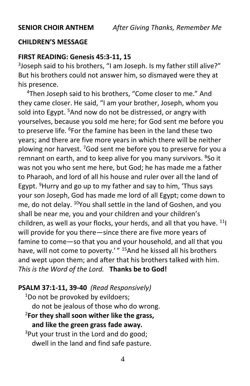#### **CHILDREN'S MESSAGE**

#### **FIRST READING: Genesis 45:3-11, 15**

<sup>3</sup>Joseph said to his brothers, "I am Joseph. Is my father still alive?" But his brothers could not answer him, so dismayed were they at his presence.

<sup>4</sup>Then Joseph said to his brothers, "Come closer to me." And they came closer. He said, "I am your brother, Joseph, whom you sold into Egypt.<sup>5</sup> And now do not be distressed, or angry with yourselves, because you sold me here; for God sent me before you to preserve life. <sup>6</sup>For the famine has been in the land these two years; and there are five more years in which there will be neither plowing nor harvest. <sup>7</sup>God sent me before you to preserve for you a remnant on earth, and to keep alive for you many survivors. <sup>8</sup>So it was not you who sent me here, but God; he has made me a father to Pharaoh, and lord of all his house and ruler over all the land of Egypt.  $9$ Hurry and go up to my father and say to him, 'Thus says your son Joseph, God has made me lord of all Egypt; come down to me, do not delay. <sup>10</sup>You shall settle in the land of Goshen, and you shall be near me, you and your children and your children's children, as well as your flocks, your herds, and all that you have.  $11$ will provide for you there—since there are five more years of famine to come—so that you and your household, and all that you have, will not come to poverty.'" <sup>15</sup>And he kissed all his brothers and wept upon them; and after that his brothers talked with him. *This is the Word of the Lord.* **Thanks be to God!**

#### **PSALM 37:1-11, 39-40** *(Read Responsively)*

 $1$ Do not be provoked by evildoers; do not be jealous of those who do wrong. <sup>2</sup>**For they shall soon wither like the grass,**

## **and like the green grass fade away.**

<sup>3</sup>Put your trust in the Lord and do good; dwell in the land and find safe pasture.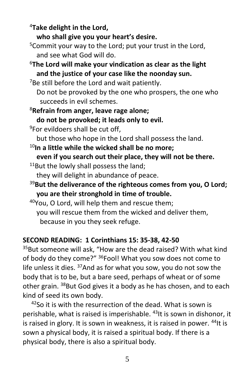<sup>4</sup>**Take delight in the Lord,**

**who shall give you your heart's desire.**

- $5$ Commit your way to the Lord; put your trust in the Lord, and see what God will do.
- <sup>6</sup>**The Lord will make your vindication as clear as the light and the justice of your case like the noonday sun.**

 $7$ Be still before the Lord and wait patiently.

Do not be provoked by the one who prospers, the one who succeeds in evil schemes.

- <sup>8</sup>**Refrain from anger, leave rage alone;**
	- **do not be provoked; it leads only to evil.**
- <sup>9</sup>For evildoers shall be cut off,

but those who hope in the Lord shall possess the land.

- <sup>10</sup>**In a little while the wicked shall be no more;**
- **even if you search out their place, they will not be there.**  $11$ But the lowly shall possess the land;

they will delight in abundance of peace.

<sup>39</sup>**But the deliverance of the righteous comes from you, O Lord; you are their stronghold in time of trouble.**

<sup>40</sup>You, O Lord, will help them and rescue them; you will rescue them from the wicked and deliver them, because in you they seek refuge.

#### **SECOND READING: 1 Corinthians 15: 35-38, 42-50**

<sup>35</sup>But someone will ask, "How are the dead raised? With what kind of body do they come?" <sup>36</sup>Fool! What you sow does not come to life unless it dies.  $37$ And as for what you sow, you do not sow the body that is to be, but a bare seed, perhaps of wheat or of some other grain. <sup>38</sup>But God gives it a body as he has chosen, and to each kind of seed its own body.

 $42$ So it is with the resurrection of the dead. What is sown is perishable, what is raised is imperishable. <sup>43</sup>It is sown in dishonor, it is raised in glory. It is sown in weakness, it is raised in power. <sup>44</sup>It is sown a physical body, it is raised a spiritual body. If there is a physical body, there is also a spiritual body.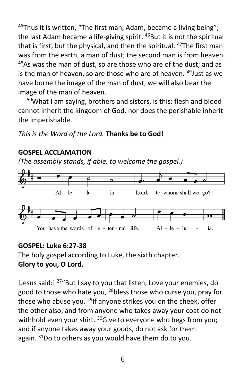$45$ Thus it is written, "The first man, Adam, became a living being"; the last Adam became a life-giving spirit. <sup>46</sup>But it is not the spiritual that is first, but the physical, and then the spiritual. <sup>47</sup>The first man was from the earth, a man of dust; the second man is from heaven.  $48$ As was the man of dust, so are those who are of the dust; and as is the man of heaven, so are those who are of heaven. <sup>49</sup> Just as we have borne the image of the man of dust, we will also bear the image of the man of heaven.

<sup>50</sup>What I am saying, brothers and sisters, is this: flesh and blood cannot inherit the kingdom of God, nor does the perishable inherit the imperishable.

*This is the Word of the Lord.* **Thanks be to God!**

#### **GOSPEL ACCLAMATION**

*(The assembly stands, if able, to welcome the gospel.)*



### **GOSPEL: Luke 6:27-38**

The holy gospel according to Luke, the sixth chapter. **Glory to you, O Lord.**

[Jesus said:] <sup>27</sup> "But I say to you that listen, Love your enemies, do good to those who hate you, <sup>28</sup>bless those who curse you, pray for those who abuse you. <sup>29</sup>If anyone strikes you on the cheek, offer the other also; and from anyone who takes away your coat do not withhold even your shirt.  $30$ Give to everyone who begs from you; and if anyone takes away your goods, do not ask for them again.  $31$ Do to others as you would have them do to you.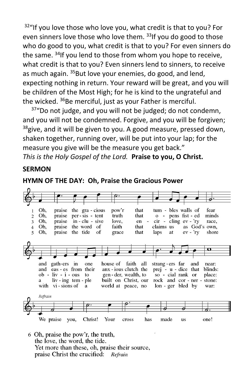$32$ "If you love those who love you, what credit is that to you? For even sinners love those who love them. 33If you do good to those who do good to you, what credit is that to you? For even sinners do the same. <sup>34</sup>If you lend to those from whom you hope to receive, what credit is that to you? Even sinners lend to sinners, to receive as much again. <sup>35</sup>But love your enemies, do good, and lend, expecting nothing in return. Your reward will be great, and you will be children of the Most High; for he is kind to the ungrateful and the wicked. <sup>36</sup>Be merciful, just as your Father is merciful.

<sup>37</sup>"Do not judge, and you will not be judged; do not condemn, and you will not be condemned. Forgive, and you will be forgiven;  $38$ give, and it will be given to you. A good measure, pressed down, shaken together, running over, will be put into your lap; for the measure you give will be the measure you get back." *This is the Holy Gospel of the Lord.* **Praise to you, O Christ.**

#### **SERMON**





6 Oh, praise the pow'r, the truth, the love, the word, the tide. Yet more than these, oh, praise their source, praise Christ the crucified: Refrain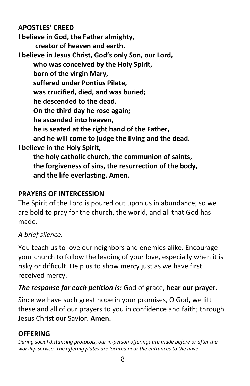#### **APOSTLES' CREED**

**I believe in God, the Father almighty, creator of heaven and earth. I believe in Jesus Christ, God's only Son, our Lord, who was conceived by the Holy Spirit, born of the virgin Mary, suffered under Pontius Pilate, was crucified, died, and was buried; he descended to the dead. On the third day he rose again; he ascended into heaven, he is seated at the right hand of the Father, and he will come to judge the living and the dead. I believe in the Holy Spirit, the holy catholic church, the communion of saints, the forgiveness of sins, the resurrection of the body,**

**and the life everlasting. Amen.**

#### **PRAYERS OF INTERCESSION**

The Spirit of the Lord is poured out upon us in abundance; so we are bold to pray for the church, the world, and all that God has made.

### *A brief silence.*

You teach us to love our neighbors and enemies alike. Encourage your church to follow the leading of your love, especially when it is risky or difficult. Help us to show mercy just as we have first received mercy.

### *The response for each petition is:* God of grace, **hear our prayer.**

Since we have such great hope in your promises, O God, we lift these and all of our prayers to you in confidence and faith; through Jesus Christ our Savior. **Amen.**

### **OFFERING**

*During social distancing protocols, our in-person offerings are made before or after the worship service. The offering plates are located near the entrances to the nave.*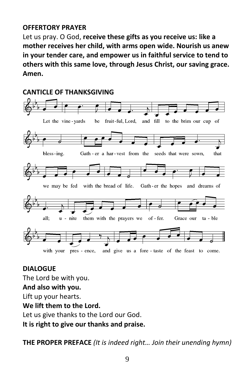#### **OFFERTORY PRAYER**

Let us pray. O God, **receive these gifts as you receive us: like a mother receives her child, with arms open wide. Nourish us anew in your tender care, and empower us in faithful service to tend to others with this same love, through Jesus Christ, our saving grace. Amen.**

### **CANTICLE OF THANKSGIVING**  and fill to the brim our cup of Let the vine-yards be fruit-ful, Lord, bless-ing. Gath - er a har-vest from the seeds that were sown, that we may be fed with the bread of life. Gath-er the hopes and dreams of them with the prayers we of-fer. Grace our all: u - nite ta - ble with your pres - ence, and give us a fore-taste of the feast to come.

#### **DIALOGUE**

The Lord be with you.

#### **And also with you.**

Lift up your hearts.

#### **We lift them to the Lord.**

Let us give thanks to the Lord our God.

**It is right to give our thanks and praise.**

**THE PROPER PREFACE** *(It is indeed right… Join their unending hymn)*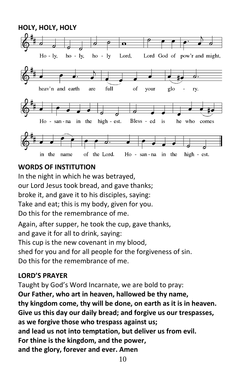

#### **WORDS OF INSTITUTION**

In the night in which he was betrayed, our Lord Jesus took bread, and gave thanks; broke it, and gave it to his disciples, saying: Take and eat; this is my body, given for you. Do this for the remembrance of me.

Again, after supper, he took the cup, gave thanks, and gave it for all to drink, saying: This cup is the new covenant in my blood, shed for you and for all people for the forgiveness of sin. Do this for the remembrance of me.

#### **LORD'S PRAYER**

Taught by God's Word Incarnate, we are bold to pray: **Our Father, who art in heaven, hallowed be thy name, thy kingdom come, thy will be done, on earth as it is in heaven. Give us this day our daily bread; and forgive us our trespasses, as we forgive those who trespass against us; and lead us not into temptation, but deliver us from evil. For thine is the kingdom, and the power, and the glory, forever and ever. Amen**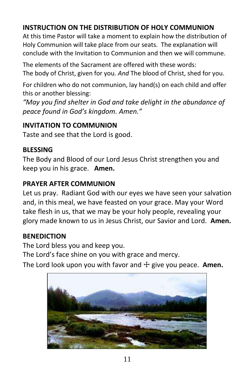### **INSTRUCTION ON THE DISTRIBUTION OF HOLY COMMUNION**

At this time Pastor will take a moment to explain how the distribution of Holy Communion will take place from our seats. The explanation will conclude with the Invitation to Communion and then we will commune.

The elements of the Sacrament are offered with these words: The body of Christ, given for you. *And* The blood of Christ, shed for you.

For children who do not communion, lay hand(s) on each child and offer this or another blessing:

*"May you find shelter in God and take delight in the abundance of peace found in God's kingdom. Amen."*

#### **INVITATION TO COMMUNION**

Taste and see that the Lord is good.

#### **BLESSING**

The Body and Blood of our Lord Jesus Christ strengthen you and keep you in his grace. **Amen.** 

#### **PRAYER AFTER COMMUNION**

Let us pray. Radiant God with our eyes we have seen your salvation and, in this meal, we have feasted on your grace. May your Word take flesh in us, that we may be your holy people, revealing your glory made known to us in Jesus Christ, our Savior and Lord. **Amen.**

#### **BENEDICTION**

The Lord bless you and keep you.

The Lord's face shine on you with grace and mercy.

The Lord look upon you with favor and ☩ give you peace. **Amen.**

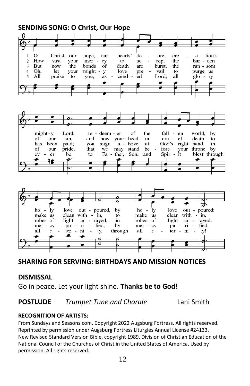#### **SENDING SONG: O Christ, Our Hope**  $\mathbf{I}$  $\Omega$ Christ. our hope, our hearts' de sire. cre  $a - tion's$  $\overline{2}$ How vast cept the bur - den your mer cy to ac  $\overline{\mathbf{3}}$ **But** now the honds  $\overline{of}$ death are burst. the ran - som Oh. vail  $\overline{4}$ **let** your might - $\overline{y}$ love pre  $10<sub>o</sub>$ purge us  $AII$  $\overline{5}$ praise to vou. as cend  $ed$ Lord: all  $g$ lo - ry of fall  $might - v$ Lord, re - deem - er the en world, by your of our sin. and bow head in  $cru$ el death to has been paid; you reign  $a$ bove at God's right hand, in of our pride, stand be that we may fore your throne bv ev er be to Fa - ther, Son. and Spir it blest through P. σ ヺ  $ho$ *ly* love out - poured, by  $ho 1y$ love out - poured: make us clean with make clean with - in. in, to **us** robes of light ar - rayed, robes in of light ar - rayed.  $pu - ri$ <br>ter - ni mer - cy fied. bv mer cy  $\bar{p}u - \bar{n}$  $\overline{a}$ fied. through  $\bar{t}$ er all  $\mathbf{e}$ ty, all e.  $\mathbf{n}$ ty!

#### **SHARING FOR SERVING: BIRTHDAYS AND MISSION NOTICES**

#### **DISMISSAL**

Go in peace. Let your light shine. **Thanks be to God!** 

#### **POSTLUDE** *Trumpet Tune and Chorale* Lani Smith

#### **RECOGNITION OF ARTISTS:**

From Sundays and Seasons.com. Copyright 2022 Augsburg Fortress. All rights reserved. Reprinted by permission under Augsburg Fortress Liturgies Annual License #24133. New Revised Standard Version Bible, copyright 1989, Division of Christian Education of the National Council of the Churches of Christ in the United States of America. Used by permission. All rights reserved.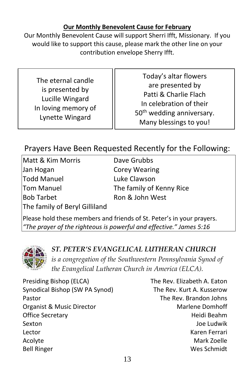#### **Our Monthly Benevolent Cause for February**

Our Monthly Benevolent Cause will support Sherri Ifft, Missionary. If you would like to support this cause, please mark the other line on your contribution envelope Sherry Ifft.

The eternal candle is presented by Lucille Wingard In loving memory of Lynette Wingard

Today's altar flowers are presented by Patti & Charlie Flach In celebration of their 50<sup>th</sup> wedding anniversary. Many blessings to you!

### Prayers Have Been Requested Recently for the Following:

Matt & Kim Morris **Dave Grubbs** Jan Hogan Corey Wearing Todd Manuel Luke Clawson Tom Manuel The family of Kenny Rice Bob Tarbet Ron & John West The family of Beryl Gilliland

Please hold these members and friends of St. Peter's in your prayers. *"The prayer of the righteous is powerful and effective." James 5:16*



#### *ST. PETER'S EVANGELICAL LUTHERAN CHURCH*

*is a congregation of the Southwestern Pennsylvania Synod of the Evangelical Lutheran Church in America (ELCA).*

Presiding Bishop (ELCA) The Rev. Elizabeth A. Eaton Synodical Bishop (SW PA Synod) The Rev. Kurt A. Kusserow Pastor **Pastor** The Rev. Brandon Johns Organist & Music Director **Maritian** Marlene Domhoff Office Secretary **Heidi Beahm** Sexton Joe Ludwik Lector Karen Ferrari Acolyte **Mark Zoelle** Mark Zoelle Bell Ringer Wes Schmidt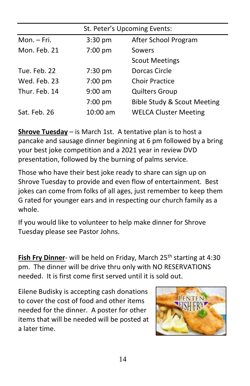| St. Peter's Upcoming Events: |                   |                              |
|------------------------------|-------------------|------------------------------|
| Mon. - Fri.                  | $3:30 \text{ pm}$ | After School Program         |
| Mon. Feb. 21                 | $7:00$ pm         | Sowers                       |
|                              |                   | <b>Scout Meetings</b>        |
| Tue. Feb. 22                 | $7:30$ pm         | Dorcas Circle                |
| Wed. Feb. 23                 | $7:00$ pm         | <b>Choir Practice</b>        |
| Thur. Feb. 14                | $9:00$ am         | <b>Quilters Group</b>        |
|                              | $7:00$ pm         | Bible Study & Scout Meeting  |
| Sat. Feb. 26                 | 10:00 am          | <b>WELCA Cluster Meeting</b> |

**Shrove Tuesday** – is March 1st. A tentative plan is to host a pancake and sausage dinner beginning at 6 pm followed by a bring your best joke competition and a 2021 year in review DVD presentation, followed by the burning of palms service.

Those who have their best joke ready to share can sign up on Shrove Tuesday to provide and even flow of entertainment. Best jokes can come from folks of all ages, just remember to keep them G rated for younger ears and in respecting our church family as a whole.

If you would like to volunteer to help make dinner for Shrove Tuesday please see Pastor Johns.

**Fish Fry Dinner-** will be held on Friday, March 25<sup>th</sup> starting at 4:30 pm. The dinner will be drive thru only with NO RESERVATIONS needed. It is first come first served until it is sold out.

Eilene Budisky is accepting cash donations to cover the cost of food and other items needed for the dinner. A poster for other items that will be needed will be posted at a later time.

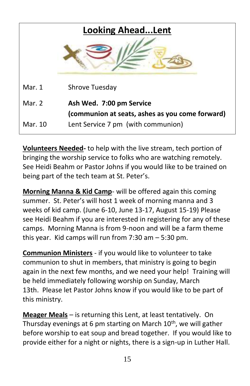| <b>Looking AheadLent</b> |                                                                             |  |
|--------------------------|-----------------------------------------------------------------------------|--|
|                          |                                                                             |  |
| Mar. 1                   | Shrove Tuesday                                                              |  |
| Mar. 2                   | Ash Wed. 7:00 pm Service<br>(communion at seats, ashes as you come forward) |  |
| Mar. 10                  | Lent Service 7 pm (with communion)                                          |  |

**Volunteers Needed-** to help with the live stream, tech portion of bringing the worship service to folks who are watching remotely. See Heidi Beahm or Pastor Johns if you would like to be trained on being part of the tech team at St. Peter's.

**Morning Manna & Kid Camp**- will be offered again this coming summer. St. Peter's will host 1 week of morning manna and 3 weeks of kid camp. (June 6-10, June 13-17, August 15-19) Please see Heidi Beahm if you are interested in registering for any of these camps. Morning Manna is from 9-noon and will be a farm theme this year. Kid camps will run from 7:30 am – 5:30 pm.

**Communion Ministers** - if you would like to volunteer to take communion to shut in members, that ministry is going to begin again in the next few months, and we need your help! Training will be held immediately following worship on Sunday, March 13th. Please let Pastor Johns know if you would like to be part of this ministry.

**Meager Meals** – is returning this Lent, at least tentatively. On Thursday evenings at 6 pm starting on March  $10<sup>th</sup>$ , we will gather before worship to eat soup and bread together. If you would like to provide either for a night or nights, there is a sign-up in Luther Hall.